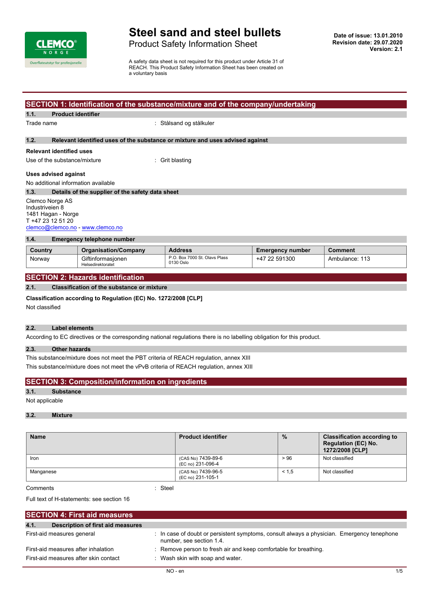

## **Steel sand and steel bullets**

Product Safety Information Sheet

A safety data sheet is not required for this product under Article 31 of REACH. This Product Safety Information Sheet has been created on a voluntary basis

## **SECTION 1: Identification of the substance/mixture and of the company/undertaking**

**1.1. Product identifier**

Trade name i Stålsand og stålkuler

#### **1.2. Relevant identified uses of the substance or mixture and uses advised against**

## **Relevant identified uses**

Use of the substance/mixture : Grit blasting

#### **Uses advised against**

No additional information available

#### **1.3. Details of the supplier of the safety data sheet** Clemco Norge AS Industriveien 8 1481 Hagan - Norge T +47 23 12 51 20 [clemco@clemco.no](mailto:clemco@clemco.no) -<www.clemco.no>

## **1.4. Emergency telephone number**

| Country | <b>Organisation/Company</b>            | <b>Address</b>                             | <b>Emergency number</b> | <b>Comment</b> |
|---------|----------------------------------------|--------------------------------------------|-------------------------|----------------|
| Norway  | Giftinformasionen<br>Helsedirektoratet | P.O. Box 7000 St. Olavs Plass<br>0130 Oslo | +47 22 591300           | Ambulance: 113 |

## **SECTION 2: Hazards identification**

**2.1. Classification of the substance or mixture**

#### **Classification according to Regulation (EC) No. 1272/2008 [CLP]**

Not classified

#### **2.2. Label elements**

According to EC directives or the corresponding national regulations there is no labelling obligation for this product.

#### **2.3. Other hazards**

This substance/mixture does not meet the PBT criteria of REACH regulation, annex XIII This substance/mixture does not meet the vPvB criteria of REACH regulation, annex XIII

|  | <b>SECTION 3: Composition/information on ingredients</b> |  |
|--|----------------------------------------------------------|--|
|--|----------------------------------------------------------|--|

#### **3.1. Substance**

Not applicable

#### **3.2. Mixture**

| <b>Name</b> | <b>Product identifier</b>               | $\frac{9}{6}$ | <b>Classification according to</b><br><b>Regulation (EC) No.</b><br>1272/2008 [CLP] |
|-------------|-----------------------------------------|---------------|-------------------------------------------------------------------------------------|
| Iron        | (CAS No) 7439-89-6<br>(EC no) 231-096-4 | > 96          | Not classified                                                                      |
| Manganese   | (CAS No) 7439-96-5<br>(EC no) 231-105-1 | < 1.5         | Not classified                                                                      |

Comments : Steel

Full text of H-statements: see section 16

| <b>SECTION 4: First aid measures</b>      |                                                                                                                        |
|-------------------------------------------|------------------------------------------------------------------------------------------------------------------------|
| 4.1.<br>Description of first aid measures |                                                                                                                        |
| First-aid measures general                | : In case of doubt or persistent symptoms, consult always a physician. Emergency tenephone<br>number, see section 1.4. |
| First-aid measures after inhalation       | : Remove person to fresh air and keep comfortable for breathing.                                                       |
| First-aid measures after skin contact     | : Wash skin with soap and water.                                                                                       |
|                                           |                                                                                                                        |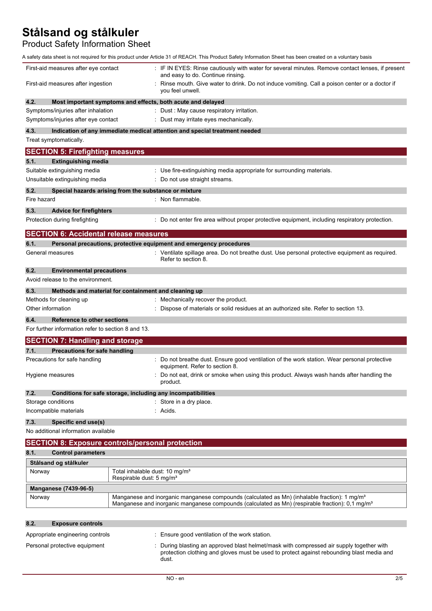Product Safety Information Sheet

|                                                    | A safety data sheet is not required for this product under Article 31 of REACH. This Product Safety Information Sheet has been created on a voluntary basis                                                             |
|----------------------------------------------------|-------------------------------------------------------------------------------------------------------------------------------------------------------------------------------------------------------------------------|
| First-aid measures after eye contact               | : IF IN EYES: Rinse cautiously with water for several minutes. Remove contact lenses, if present<br>and easy to do. Continue rinsing.                                                                                   |
| First-aid measures after ingestion                 | Rinse mouth. Give water to drink. Do not induce vomiting. Call a poison center or a doctor if<br>you feel unwell.                                                                                                       |
| 4.2.                                               | Most important symptoms and effects, both acute and delayed                                                                                                                                                             |
| Symptoms/injuries after inhalation                 | : Dust : May cause respiratory irritation.                                                                                                                                                                              |
| Symptoms/injuries after eye contact                | : Dust may irritate eyes mechanically.                                                                                                                                                                                  |
| 4.3.<br>Treat symptomatically.                     | Indication of any immediate medical attention and special treatment needed                                                                                                                                              |
| <b>SECTION 5: Firefighting measures</b>            |                                                                                                                                                                                                                         |
| 5.1.<br><b>Extinguishing media</b>                 |                                                                                                                                                                                                                         |
| Suitable extinguishing media                       | : Use fire-extinguishing media appropriate for surrounding materials.                                                                                                                                                   |
| Unsuitable extinguishing media                     | : Do not use straight streams.                                                                                                                                                                                          |
| 5.2.                                               | Special hazards arising from the substance or mixture                                                                                                                                                                   |
| Fire hazard                                        | : Non flammable.                                                                                                                                                                                                        |
| 5.3.<br><b>Advice for firefighters</b>             |                                                                                                                                                                                                                         |
| Protection during firefighting                     | : Do not enter fire area without proper protective equipment, including respiratory protection.                                                                                                                         |
| <b>SECTION 6: Accidental release measures</b>      |                                                                                                                                                                                                                         |
| 6.1.                                               | Personal precautions, protective equipment and emergency procedures                                                                                                                                                     |
| General measures                                   | : Ventilate spillage area. Do not breathe dust. Use personal protective equipment as required.<br>Refer to section 8.                                                                                                   |
| 6.2.<br><b>Environmental precautions</b>           |                                                                                                                                                                                                                         |
| Avoid release to the environment.                  |                                                                                                                                                                                                                         |
| 6.3.                                               | Methods and material for containment and cleaning up                                                                                                                                                                    |
| Methods for cleaning up                            | : Mechanically recover the product.                                                                                                                                                                                     |
| Other information                                  | Dispose of materials or solid residues at an authorized site. Refer to section 13.                                                                                                                                      |
| 6.4.<br><b>Reference to other sections</b>         |                                                                                                                                                                                                                         |
| For further information refer to section 8 and 13. |                                                                                                                                                                                                                         |
| <b>SECTION 7: Handling and storage</b>             |                                                                                                                                                                                                                         |
| <b>Precautions for safe handling</b><br>7.1.       |                                                                                                                                                                                                                         |
| Precautions for safe handling                      | : Do not breathe dust. Ensure good ventilation of the work station. Wear personal protective<br>equipment. Refer to section 8.                                                                                          |
| Hygiene measures                                   | Do not eat, drink or smoke when using this product. Always wash hands after handling the<br>product.                                                                                                                    |
| 7.2.                                               | Conditions for safe storage, including any incompatibilities                                                                                                                                                            |
| Storage conditions                                 | : Store in a dry place.                                                                                                                                                                                                 |
| Incompatible materials                             | : Acids.                                                                                                                                                                                                                |
| 7.3.<br>Specific end use(s)                        |                                                                                                                                                                                                                         |
| No additional information available                |                                                                                                                                                                                                                         |
|                                                    | <b>SECTION 8: Exposure controls/personal protection</b>                                                                                                                                                                 |
| 8.1.<br><b>Control parameters</b>                  |                                                                                                                                                                                                                         |
| Stålsand og stålkuler                              |                                                                                                                                                                                                                         |
| Norway                                             | Total inhalable dust: 10 mg/m <sup>3</sup><br>Respirable dust: 5 mg/m <sup>3</sup>                                                                                                                                      |
| Manganese (7439-96-5)                              |                                                                                                                                                                                                                         |
| Norway                                             | Manganese and inorganic manganese compounds (calculated as Mn) (inhalable fraction): 1 mg/m <sup>3</sup><br>Manganese and inorganic manganese compounds (calculated as Mn) (respirable fraction): 0,1 mg/m <sup>3</sup> |
| 8.2.<br><b>Exposure controls</b>                   |                                                                                                                                                                                                                         |

| 8.2. | <b>Exposure controls</b>         |                                                                                                                                                                                                |
|------|----------------------------------|------------------------------------------------------------------------------------------------------------------------------------------------------------------------------------------------|
|      | Appropriate engineering controls | : Ensure good ventilation of the work station.                                                                                                                                                 |
|      | Personal protective equipment    | : During blasting an approved blast helmet/mask with compressed air supply together with<br>protection clothing and gloves must be used to protect against rebounding blast media and<br>dust. |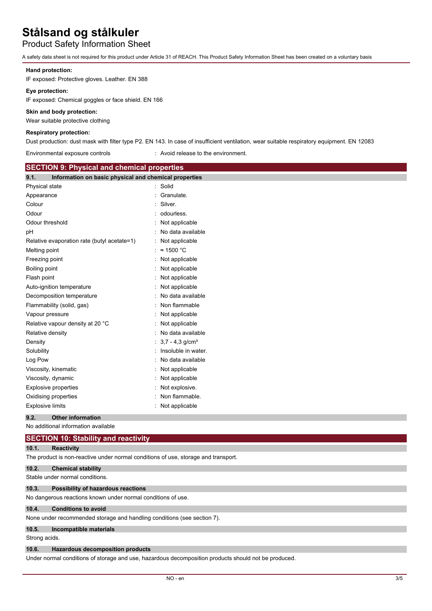Product Safety Information Sheet

A safety data sheet is not required for this product under Article 31 of REACH. This Product Safety Information Sheet has been created on a voluntary basis

## **Hand protection:**

IF exposed: Protective gloves. Leather. EN 388

## **Eye protection:**

IF exposed: Chemical goggles or face shield. EN 166

## **Skin and body protection:**

Wear suitable protective clothing

## **Respiratory protection:**

Dust production: dust mask with filter type P2. EN 143. In case of insufficient ventilation, wear suitable respiratory equipment. EN 12083

| Environmental exposure controls                               | : Avoid release to the environment. |
|---------------------------------------------------------------|-------------------------------------|
| <b>SECTION 9: Physical and chemical properties</b>            |                                     |
| 9.1.<br>Information on basic physical and chemical properties |                                     |
| Physical state                                                | : Solid                             |
| Appearance                                                    | : Granulate.                        |
| Colour                                                        | : Silver.                           |
| Odour                                                         | : odourless.                        |
| Odour threshold                                               | $:$ Not applicable                  |
| рH                                                            | : No data available                 |
| Relative evaporation rate (butyl acetate=1)                   | $:$ Not applicable                  |
| Melting point                                                 | : ≈ 1500 °C                         |
| Freezing point                                                | $:$ Not applicable                  |
| Boiling point                                                 | Not applicable                      |

| <b>TREADY</b> POINT              | . <i>wuldpplicable</i>          |
|----------------------------------|---------------------------------|
| Boiling point                    | : Not applicable                |
| Flash point                      | $:$ Not applicable              |
| Auto-ignition temperature        | : Not applicable                |
| Decomposition temperature        | : No data available             |
| Flammability (solid, gas)        | : Non flammable                 |
| Vapour pressure                  | : Not applicable                |
| Relative vapour density at 20 °C | : Not applicable                |
| Relative density                 | : No data available             |
| Density                          | : $3.7 - 4.3$ g/cm <sup>3</sup> |
| Solubility                       | Insoluble in water.             |
| Log Pow                          | : No data available             |
| Viscosity, kinematic             | : Not applicable                |
| Viscosity, dynamic               | : Not applicable                |
| Explosive properties             | : Not explosive.                |
| Oxidising properties             | : Non flammable.                |

Explosive limits **Explosive Limits Explosive Limits Explosive Limits Explosive Limits EXPLOSIVE 2018** 

## **9.2. Other information**

|               | No additional information available                                                |
|---------------|------------------------------------------------------------------------------------|
|               | <b>SECTION 10: Stability and reactivity</b>                                        |
| 10.1.         | <b>Reactivity</b>                                                                  |
|               | The product is non-reactive under normal conditions of use, storage and transport. |
| 10.2.         | <b>Chemical stability</b>                                                          |
|               | Stable under normal conditions.                                                    |
| 10.3.         | Possibility of hazardous reactions                                                 |
|               | No dangerous reactions known under normal conditions of use.                       |
| 10.4.         | <b>Conditions to avoid</b>                                                         |
|               | None under recommended storage and handling conditions (see section 7).            |
| 10.5.         | Incompatible materials                                                             |
| Strong acids. |                                                                                    |

#### **10.6. Hazardous decomposition products**

Under normal conditions of storage and use, hazardous decomposition products should not be produced.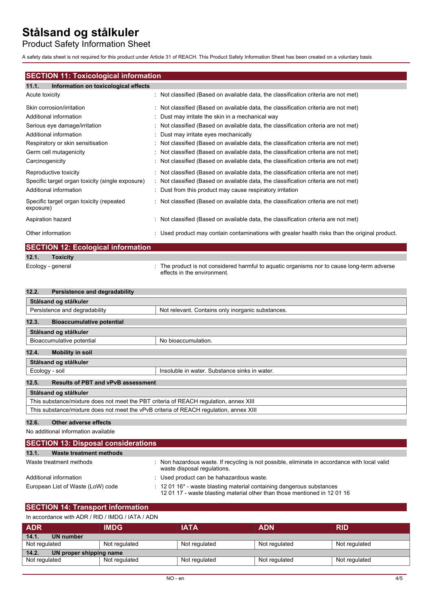Product Safety Information Sheet

A safety data sheet is not required for this product under Article 31 of REACH. This Product Safety Information Sheet has been created on a voluntary basis

## **SECTION 11: Toxicological information**

| 11.1. | Information on toxicological effects |  |  |
|-------|--------------------------------------|--|--|
|-------|--------------------------------------|--|--|

| Acute toxicity                                                                                      | $\therefore$ Not classified (Based on available data, the classification criteria are not met)                                                                                                                                                                |
|-----------------------------------------------------------------------------------------------------|---------------------------------------------------------------------------------------------------------------------------------------------------------------------------------------------------------------------------------------------------------------|
| Skin corrosion/irritation                                                                           | : Not classified (Based on available data, the classification criteria are not met)                                                                                                                                                                           |
| Additional information                                                                              | : Dust may irritate the skin in a mechanical way                                                                                                                                                                                                              |
| Serious eye damage/irritation                                                                       | $\therefore$ Not classified (Based on available data, the classification criteria are not met)                                                                                                                                                                |
| Additional information                                                                              | : Dust may irritate eyes mechanically                                                                                                                                                                                                                         |
| Respiratory or skin sensitisation                                                                   | $\therefore$ Not classified (Based on available data, the classification criteria are not met)                                                                                                                                                                |
| Germ cell mutagenicity                                                                              | : Not classified (Based on available data, the classification criteria are not met)                                                                                                                                                                           |
| Carcinogenicity                                                                                     | : Not classified (Based on available data, the classification criteria are not met)                                                                                                                                                                           |
| Reproductive toxicity<br>Specific target organ toxicity (single exposure)<br>Additional information | $\therefore$ Not classified (Based on available data, the classification criteria are not met)<br>$\therefore$ Not classified (Based on available data, the classification criteria are not met)<br>: Dust from this product may cause respiratory irritation |
| Specific target organ toxicity (repeated<br>exposure)                                               | : Not classified (Based on available data, the classification criteria are not met)                                                                                                                                                                           |
| Aspiration hazard                                                                                   | : Not classified (Based on available data, the classification criteria are not met)                                                                                                                                                                           |
| Other information                                                                                   | : Used product may contain contaminations with greater health risks than the original product.                                                                                                                                                                |

|       | <b>SECTION 12: Ecological information</b> |                                                                                                                            |
|-------|-------------------------------------------|----------------------------------------------------------------------------------------------------------------------------|
| 12.1. | <b>Toxicity</b>                           |                                                                                                                            |
|       | Ecology - general                         | : The product is not considered harmful to aquatic organisms nor to cause long-term adverse<br>effects in the environment. |

| Persistence and degradability<br>12.2.                                                 |                                                   |
|----------------------------------------------------------------------------------------|---------------------------------------------------|
| Stålsand og stålkuler                                                                  |                                                   |
| Persistence and degradability                                                          | Not relevant. Contains only inorganic substances. |
| 12.3.<br><b>Bioaccumulative potential</b>                                              |                                                   |
| Stålsand og stålkuler                                                                  |                                                   |
| Bioaccumulative potential                                                              | No bioaccumulation.                               |
| 12.4.<br><b>Mobility in soil</b>                                                       |                                                   |
| Stålsand og stålkuler                                                                  |                                                   |
| Ecology - soil                                                                         | Insoluble in water. Substance sinks in water.     |
| 12.5.<br><b>Results of PBT and vPvB assessment</b>                                     |                                                   |
| Stålsand og stålkuler                                                                  |                                                   |
| This substance/mixture does not meet the PBT criteria of REACH requlation, annex XIII  |                                                   |
| This substance/mixture does not meet the vPvB criteria of REACH regulation, annex XIII |                                                   |
|                                                                                        |                                                   |

## **12.6. Other adverse effects**

No additional information available

| <b>SECTION 13: Disposal considerations</b> |                                                                                                                                                                         |  |  |
|--------------------------------------------|-------------------------------------------------------------------------------------------------------------------------------------------------------------------------|--|--|
| 13.1.<br>Waste treatment methods           |                                                                                                                                                                         |  |  |
| Waste treatment methods                    | : Non hazardous waste. If recycling is not possible, eliminate in accordance with local valid<br>waste disposal regulations.                                            |  |  |
| Additional information                     | : Used product can be hahazardous waste.                                                                                                                                |  |  |
| European List of Waste (LoW) code          | $\therefore$ 12 01 16 <sup>*</sup> - waste blasting material containing dangerous substances<br>1201 17 - waste blasting material other than those mentioned in 1201 16 |  |  |

## **SECTION 14: Transport information**

| In accordance with ADR / RID / IMDG / IATA / ADN |  |  |
|--------------------------------------------------|--|--|
|                                                  |  |  |

| <b>ADR</b>                       | <b>IMDG</b>   | <b>IATA</b>   | <b>ADN</b>    | <b>RID</b>    |
|----------------------------------|---------------|---------------|---------------|---------------|
| 14.1.<br>UN number               |               |               |               |               |
| Not regulated                    | Not regulated | Not regulated | Not regulated | Not regulated |
| 14.2.<br>UN proper shipping name |               |               |               |               |
| Not regulated                    | Not regulated | Not regulated | Not regulated | Not regulated |